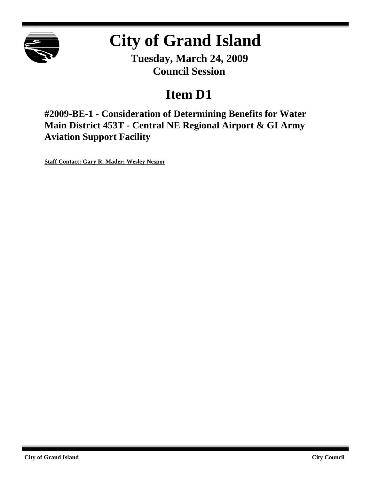

# **City of Grand Island**

**Tuesday, March 24, 2009 Council Session**

## **Item D1**

**#2009-BE-1 - Consideration of Determining Benefits for Water Main District 453T - Central NE Regional Airport & GI Army Aviation Support Facility**

**Staff Contact: Gary R. Mader; Wesley Nespor**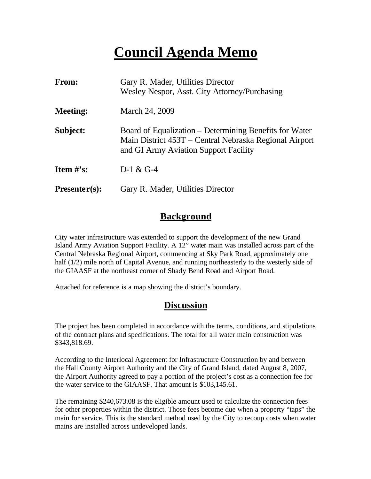## **Council Agenda Memo**

| From:           | Gary R. Mader, Utilities Director<br>Wesley Nespor, Asst. City Attorney/Purchasing                                                                        |
|-----------------|-----------------------------------------------------------------------------------------------------------------------------------------------------------|
| <b>Meeting:</b> | March 24, 2009                                                                                                                                            |
| Subject:        | Board of Equalization – Determining Benefits for Water<br>Main District 453T – Central Nebraska Regional Airport<br>and GI Army Aviation Support Facility |
| Item $\#$ 's:   | $D-1 & 0 \\ G-4$                                                                                                                                          |
| $Presenter(s):$ | Gary R. Mader, Utilities Director                                                                                                                         |

#### **Background**

City water infrastructure was extended to support the development of the new Grand Island Army Aviation Support Facility. A 12" water main was installed across part of the Central Nebraska Regional Airport, commencing at Sky Park Road, approximately one half (1/2) mile north of Capital Avenue, and running northeasterly to the westerly side of the GIAASF at the northeast corner of Shady Bend Road and Airport Road.

Attached for reference is a map showing the district's boundary.

#### **Discussion**

The project has been completed in accordance with the terms, conditions, and stipulations of the contract plans and specifications. The total for all water main construction was \$343,818.69.

According to the Interlocal Agreement for Infrastructure Construction by and between the Hall County Airport Authority and the City of Grand Island, dated August 8, 2007, the Airport Authority agreed to pay a portion of the project's cost as a connection fee for the water service to the GIAASF. That amount is \$103,145.61.

The remaining \$240,673.08 is the eligible amount used to calculate the connection fees for other properties within the district. Those fees become due when a property "taps" the main for service. This is the standard method used by the City to recoup costs when water mains are installed across undeveloped lands.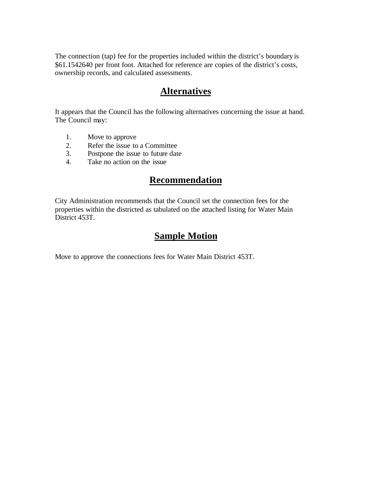The connection (tap) fee for the properties included within the district's boundary is \$61.1542640 per front foot. Attached for reference are copies of the district's costs, ownership records, and calculated assessments.

#### **Alternatives**

It appears that the Council has the following alternatives concerning the issue at hand. The Council may:

- 1. Move to approve
- 2. Refer the issue to a Committee
- 3. Postpone the issue to future date
- 4. Take no action on the issue

### **Recommendation**

City Administration recommends that the Council set the connection fees for the properties within the districted as tabulated on the attached listing for Water Main District 453T.

### **Sample Motion**

Move to approve the connections fees for Water Main District 453T.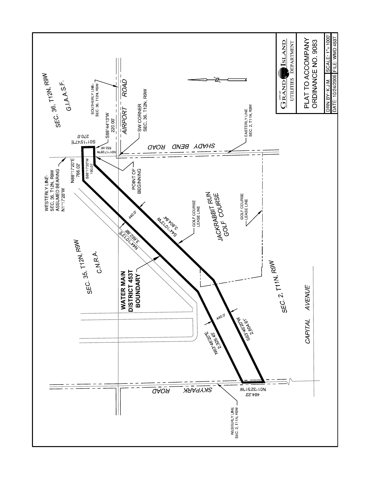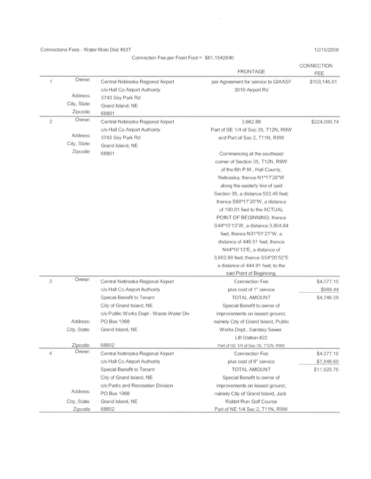Connections Fees - Water Main Dist 453T

Connection Fee per Front Foot = \$61.1542640

 $\alpha$ 

12/15/2008

|                |              |                                         | <b>FRONTAGE</b>                     | CONNECTION<br>FEE |
|----------------|--------------|-----------------------------------------|-------------------------------------|-------------------|
| 1              | Owner:       | Central Nebraska Regional Airport       | per Agreement for service to GIAASF | \$103,145.61      |
|                |              | c/o Hall Co Airport Authority           | 3010 Airport Rd                     |                   |
|                | Address:     | 3743 Sky Park Rd                        |                                     |                   |
|                | City, State: | Grand Island, NE                        |                                     |                   |
|                | Zipcode:     | 68801                                   |                                     |                   |
| $\overline{2}$ | Owner:       | Central Nebraska Regional Airport       | 3,662.88                            | \$224,000.74      |
|                |              | c/o Hall Co Airport Authority           | Part of SE 1/4 of Sec 35, T12N, R9W |                   |
|                | Address:     | 3743 Sky Park Rd                        | and Part of Sec 2, T11N, R9W        |                   |
|                | City, State: | Grand Island, NE                        |                                     |                   |
|                | Zipcode:     | 68801                                   | Commencing at the southeast         |                   |
|                |              |                                         | corner of Section 35, T12N, R9W     |                   |
|                |              |                                         | of the 6th P.M., Hall County,       |                   |
|                |              |                                         | Nebraska; thence N1º17'28"W         |                   |
|                |              |                                         | along the easterly line of said     |                   |
|                |              |                                         | Section 35, a distance 552.48 feet; |                   |
|                |              |                                         | thence S88°17'20"W, a distance      |                   |
|                |              |                                         | of 190.01 feet to the ACTUAL        |                   |
|                |              |                                         | POINT OF BEGINNING; thence          |                   |
|                |              |                                         | S44°10'13"W, a distance 3,804.84    |                   |
|                |              |                                         | feet, thence N31°01'21"W, a         |                   |
|                |              |                                         | distance of 446.51 feet; thence     |                   |
|                |              |                                         | N44°10'13"E, a distance of          |                   |
|                |              |                                         | 3,662.88 feet; thence S54°20'52"E   |                   |
|                |              |                                         | a distance of 444.91 feet; to the   |                   |
|                |              |                                         | said Point of Beginning.            |                   |
| 3              | Owner:       | Central Nebraska Regional Airport       | <b>Connection Fee</b>               | \$4,077.15        |
|                |              | c/o Hall Co Airport Authority           | plus cost of 1" service             | \$669.44          |
|                |              | Special Benefit to Tenant               | <b>TOTAL AMOUNT</b>                 | \$4,746.59        |
|                |              | City of Grand Island, NE                | Special Benefit to owner of         |                   |
|                |              | c/o Public Works Dept - Waste Water Div | improvements on leased ground,      |                   |
|                | Address:     | PO Box 1968                             | namely City of Grand Island, Public |                   |
|                | City, State: | Grand Island, NE                        | Works Dept., Sanitary Sewer         |                   |
|                |              |                                         | Lift Station #22                    |                   |
|                | Zipcode:     | 68802                                   | Part of SE 1/4 of Sec 35, T12N, R9W |                   |
| $\overline{4}$ | Owner:       | Central Nebraska Regional Airport       | <b>Connection Fee</b>               | \$4,077.15        |
|                |              | c/o Hall Co Airport Authority           | plus cost of 6" service             | \$7,848.60        |
|                |              | Special Benefit to Tenant               | <b>TOTAL AMOUNT</b>                 | \$11,925.75       |
|                |              | City of Grand Island, NE                | Special Benefit to owner of         |                   |
|                |              | c/o Parks and Recreation Division       | improvements on leased ground,      |                   |
|                | Address:     | PO Box 1968                             | namely City of Grand Island, Jack   |                   |
|                | City, State: | Grand Island, NE                        | <b>Rabbit Run Golf Course</b>       |                   |
|                | Zipcode      | 68802                                   | Part of NE 1/4 Sec 2, T11N, R9W     |                   |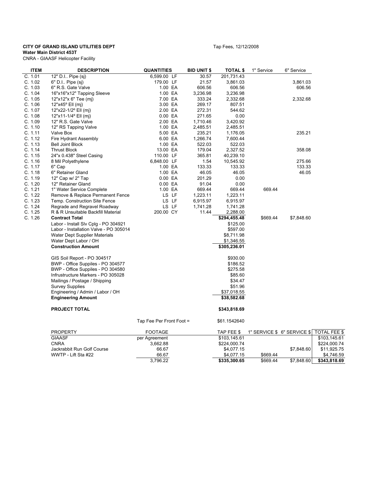#### **CITY OF GRAND ISLAND UTILITIES DEPT TABLE 2008** Tap Fees, 12/12/2008

**Water Main District 453T**

CNRA - GIAASF Helicopter Facility

| P I |  |  | тар |
|-----|--|--|-----|
|     |  |  |     |
|     |  |  |     |

| <b>ITEM</b> | <b>DESCRIPTION</b>                     | <b>QUANTITIES</b>        | <b>BID UNIT \$</b> | <b>TOTAL \$</b> | 1" Service | 6" Service                  |              |
|-------------|----------------------------------------|--------------------------|--------------------|-----------------|------------|-----------------------------|--------------|
| C. 1.01     | 12" D.I Pipe (sj)                      | 6,599.00 LF              | 30.57              | 201,731.43      |            |                             |              |
| C. 1.02     | 6" D.I Pipe (sj)                       | 179.00 LF                | 21.57              | 3,861.03        |            | 3,861.03                    |              |
| C. 1.03     | 6" R.S. Gate Valve                     | 1.00 EA                  | 606.56             | 606.56          |            | 606.56                      |              |
| C. 1.04     | 16"x16"x12" Tapping Sleeve             | 1.00 EA                  | 3,236.98           | 3,236.98        |            |                             |              |
| C. 1.05     | 12"x12"x 6" Tee (mj)                   | 7.00 EA                  | 333.24             | 2,332.68        |            | 2,332.68                    |              |
| C. 1.06     | $12"x45°$ Ell (mj)                     | 3.00 EA                  | 269.17             | 807.51          |            |                             |              |
| C. 1.07     | 12"x22-1/2° Ell (mj)                   | 2.00 EA                  | 272.31             | 544.62          |            |                             |              |
| C. 1.08     | 12"x11-1/4° Ell (mj)                   | 0.00 EA                  | 271.65             | 0.00            |            |                             |              |
| C. 1.09     | 12" R.S. Gate Valve                    | 2.00 EA                  | 1,710.46           | 3,420.92        |            |                             |              |
| C. 1.10     | 12" RS Tapping Valve                   | 1.00 EA                  | 2,485.51           | 2,485.51        |            |                             |              |
| C. 1.11     | Valve Box                              | 5.00 EA                  | 235.21             | 1,176.05        |            | 235.21                      |              |
| C. 1.12     | Fire Hydrant Assembly                  | 6.00 EA                  | 1,266.74           | 7,600.44        |            |                             |              |
| C. 1.13     | <b>Bell Joint Block</b>                | 1.00 EA                  | 522.03             | 522.03          |            |                             |              |
| C. 1.14     | <b>Thrust Block</b>                    | 13.00 EA                 | 179.04             | 2,327.52        |            | 358.08                      |              |
| C. 1.15     | 24"x 0.438" Steel Casing               | 110.00 LF                | 365.81             | 40,239.10       |            |                             |              |
| C. 1.16     | 8 Mil Polyethylene                     | 6,848.00 LF              | 1.54               | 10,545.92       |            | 275.66                      |              |
| C. 1.17     | 6" Cap                                 | 1.00 EA                  | 133.33             | 133.33          |            | 133.33                      |              |
| C. 1.18     | 6" Retainer Gland                      | 1.00 EA                  | 46.05              | 46.05           |            | 46.05                       |              |
| C. 1.19     | 12" Cap w/ 2" Tap                      | 0.00 EA                  | 201.29             | 0.00            |            |                             |              |
| C. 1.20     | 12" Retainer Gland                     | 0.00 EA                  | 91.04              | 0.00            |            |                             |              |
| C. 1.21     | 1" Water Service Complete              | 1.00 EA                  | 669.44             | 669.44          | 669.44     |                             |              |
| C. 1.22     | Remove & Replace Permanent Fence       | LS LF                    | 1,223.11           | 1,223.11        |            |                             |              |
| C. 1.23     | Temp. Construction Site Fence          | LS LF                    | 6,915.97           | 6,915.97        |            |                             |              |
| C. 1.24     | Regrade and Regravel Roadway           | LS LF                    | 1,741.28           | 1,741.28        |            |                             |              |
| C. 1.25     | R & R Unsuitable Backfill Material     | 200.00 CY                | 11.44              | 2,288.00        |            |                             |              |
| C. 1.26     | <b>Contract Total</b>                  |                          |                    | \$294,455.48    | \$669.44   | \$7,848.60                  |              |
|             | Labor - Install Slv Cplg - PO 304921   |                          |                    | \$125.00        |            |                             |              |
|             | Labor - Installation Valve - PO 305014 |                          |                    | \$597.00        |            |                             |              |
|             | Water Dept Supplier Materials          |                          |                    | \$8,711.98      |            |                             |              |
|             | Water Dept Labor / OH                  |                          |                    | \$1,346.55      |            |                             |              |
|             | <b>Construction Amount</b>             |                          |                    | \$305,236.01    |            |                             |              |
|             |                                        |                          |                    |                 |            |                             |              |
|             | GIS Soil Report - PO 304517            |                          |                    | \$930.00        |            |                             |              |
|             | BWP - Office Suppiles - PO 304577      |                          |                    | \$186.52        |            |                             |              |
|             | BWP - Office Suppiles - PO 304580      |                          |                    | \$275.58        |            |                             |              |
|             | Infrustructure Markers - PO 305028     |                          |                    | \$85.60         |            |                             |              |
|             | Mailings / Postage / Shipping          |                          |                    | \$34.47         |            |                             |              |
|             | <b>Survey Supplies</b>                 |                          |                    | \$51.96         |            |                             |              |
|             | Engineering / Admin / Labor / OH       |                          |                    | \$37,018.55     |            |                             |              |
|             | <b>Engineering Amount</b>              |                          |                    | \$38,582.68     |            |                             |              |
|             |                                        |                          |                    |                 |            |                             |              |
|             | <b>PROJECT TOTAL</b>                   |                          |                    | \$343,818.69    |            |                             |              |
|             |                                        |                          |                    |                 |            |                             |              |
|             |                                        | Tap Fee Per Front Foot = |                    | \$61.1542640    |            |                             |              |
|             | <b>PROPERTY</b>                        | <b>FOOTAGE</b>           |                    | TAP FEE \$      |            | 1" SERVICE \$ 6" SERVICE \$ | TOTAL FEE \$ |
|             | <b>GIAASF</b>                          | per Agreement            |                    | \$103,145.61    |            |                             | \$103,145.61 |
|             | <b>CNRA</b>                            | 3,662.88                 |                    | \$224,000.74    |            |                             | \$224,000.74 |
|             | Jackrabbit Run Golf Course             | 66.67                    |                    | \$4,077.15      |            | \$7,848.60                  | \$11,925.75  |
|             | WWTP - Lift Sta #22                    | 66.67                    |                    | \$4,077.15      | \$669.44   |                             | \$4,746.59   |
|             |                                        | 3,796.22                 |                    | \$335,300.65    | \$669.44   | \$7,848.60                  | \$343,818.69 |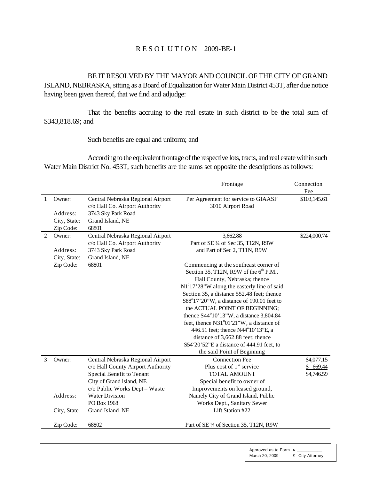#### R E S O L U T I O N 2009-BE-1

BE IT RESOLVED BY THE MAYOR AND COUNCIL OF THE CITY OF GRAND ISLAND, NEBRASKA, sitting as a Board of Equalization for Water Main District 453T, after due notice having been given thereof, that we find and adjudge:

That the benefits accruing to the real estate in such district to be the total sum of \$343,818.69; and

Such benefits are equal and uniform; and

According to the equivalent frontage of the respective lots, tracts, and real estate within such Water Main District No. 453T, such benefits are the sums set opposite the descriptions as follows:

|   |                     |                                                                     | Frontage                                                 | Connection<br>Fee |
|---|---------------------|---------------------------------------------------------------------|----------------------------------------------------------|-------------------|
| 1 | Owner:              | Central Nebraska Regional Airport<br>c/o Hall Co. Airport Authority | Per Agreement for service to GIAASF<br>3010 Airport Road | \$103,145.61      |
|   | Address:            | 3743 Sky Park Road                                                  |                                                          |                   |
|   | City, State:        | Grand Island, NE                                                    |                                                          |                   |
| 2 | Zip Code:<br>Owner: | 68801<br>Central Nebraska Regional Airport                          | 3,662.88                                                 | \$224,000.74      |
|   |                     | c/o Hall Co. Airport Authority                                      | Part of SE 1/4 of Sec 35, T12N, R9W                      |                   |
|   | Address:            | 3743 Sky Park Road                                                  | and Part of Sec 2, T11N, R9W                             |                   |
|   | City, State:        | Grand Island, NE                                                    |                                                          |                   |
|   | Zip Code:           | 68801                                                               | Commencing at the southeast corner of                    |                   |
|   |                     |                                                                     | Section 35, T12N, R9W of the $6^{th}$ P.M.,              |                   |
|   |                     |                                                                     | Hall County, Nebraska; thence                            |                   |
|   |                     |                                                                     | $N1^{\circ}17'28''$ W along the easterly line of said    |                   |
|   |                     |                                                                     | Section 35, a distance 552.48 feet; thence               |                   |
|   |                     |                                                                     | S88°17'20"W, a distance of 190.01 feet to                |                   |
|   |                     |                                                                     | the ACTUAL POINT OF BEGINNING;                           |                   |
|   |                     |                                                                     | thence S44°10'13"W, a distance 3,804.84                  |                   |
|   |                     |                                                                     | feet, thence N31°01'21"W, a distance of                  |                   |
|   |                     |                                                                     | 446.51 feet; thence N44°10'13"E, a                       |                   |
|   |                     |                                                                     | distance of 3,662.88 feet; thence                        |                   |
|   |                     |                                                                     | S54°20'52"E a distance of 444.91 feet, to                |                   |
| 3 | Owner:              | Central Nebraska Regional Airport                                   | the said Point of Beginning<br><b>Connection Fee</b>     | \$4,077.15        |
|   |                     | c/o Hall County Airport Authority                                   | Plus cost of 1" service                                  | \$669.44          |
|   |                     | Special Benefit to Tenant                                           | <b>TOTAL AMOUNT</b>                                      | \$4,746.59        |
|   |                     | City of Grand island, NE                                            | Special benefit to owner of                              |                   |
|   |                     | c/o Public Works Dept - Waste                                       | Improvements on leased ground,                           |                   |
|   | Address:            | <b>Water Division</b>                                               | Namely City of Grand Island, Public                      |                   |
|   |                     | PO Box 1968                                                         | Works Dept., Sanitary Sewer                              |                   |
|   | City, State         | Grand Island NE                                                     | Lift Station #22                                         |                   |
|   | Zip Code:           | 68802                                                               | Part of SE 1/4 of Section 35, T12N, R9W                  |                   |

Approved as to Form  $\alpha$ March 20, 2009 **¤** City Attorney